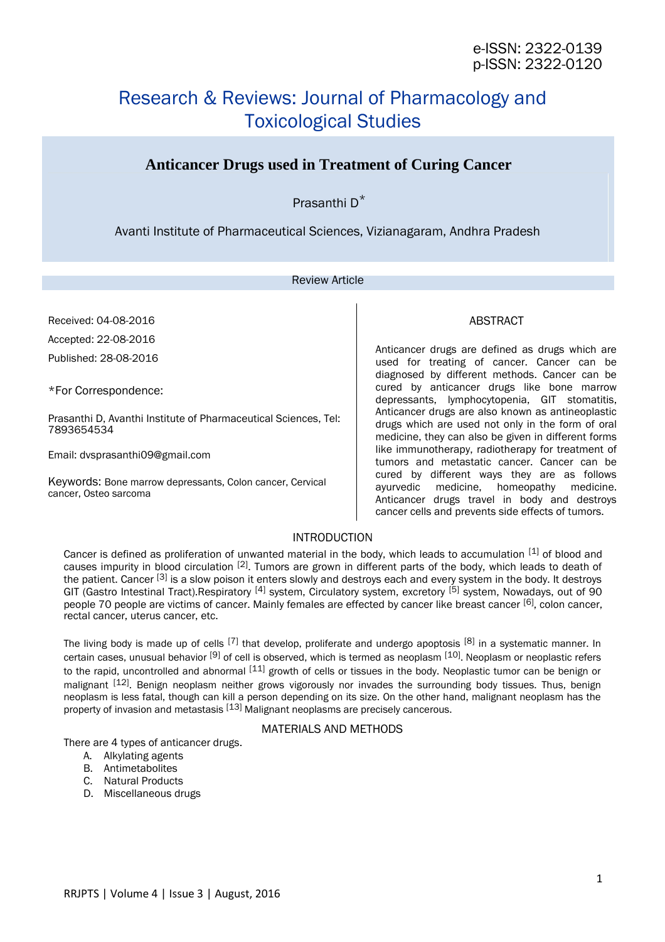# Research & Reviews: Journal of Pharmacology and Toxicological Studies

# **Anticancer Drugs used in Treatment of Curing Cancer**

Prasanthi D\*

Avanti Institute of Pharmaceutical Sciences, Vizianagaram, Andhra Pradesh

### Review Article

Received: 04-08-2016 Accepted: 22-08-2016 Published: 28-08-2016

\*For Correspondence:

Prasanthi D, Avanthi Institute of Pharmaceutical Sciences, Tel: 7893654534

Email: dvsprasanthi09@gmail.com

Keywords: Bone marrow depressants, Colon cancer, Cervical cancer, Osteo sarcoma

# ABSTRACT

Anticancer drugs are defined as drugs which are used for treating of cancer. Cancer can be diagnosed by different methods. Cancer can be cured by anticancer drugs like bone marrow depressants, lymphocytopenia, GIT stomatitis, Anticancer drugs are also known as antineoplastic drugs which are used not only in the form of oral medicine, they can also be given in different forms like immunotherapy, radiotherapy for treatment of tumors and metastatic cancer. Cancer can be cured by different ways they are as follows ayurvedic medicine, homeopathy medicine. Anticancer drugs travel in body and destroys cancer cells and prevents side effects of tumors.

# INTRODUCTION

Cancer is defined as proliferation of unwanted material in the body, which leads to accumulation [1] of blood and causes impurity in blood circulation [2]. Tumors are grown in different parts of the body, which leads to death of the patient. Cancer [3] is a slow poison it enters slowly and destroys each and every system in the body. It destroys GIT (Gastro Intestinal Tract).Respiratory <sup>[4]</sup> system, Circulatory system, excretory <sup>[5]</sup> system, Nowadays, out of 90 people 70 people are victims of cancer. Mainly females are effected by cancer like breast cancer [6], colon cancer, rectal cancer, uterus cancer, etc.

The living body is made up of cells  $^{[7]}$  that develop, proliferate and undergo apoptosis  $^{[8]}$  in a systematic manner. In certain cases, unusual behavior <sup>[9]</sup> of cell is observed, which is termed as neoplasm <sup>[10]</sup>. Neoplasm or neoplastic refers to the rapid, uncontrolled and abnormal <sup>[11]</sup> growth of cells or tissues in the body. Neoplastic tumor can be benign or malignant <sup>[12]</sup>. Benign neoplasm neither grows vigorously nor invades the surrounding body tissues. Thus, benign neoplasm is less fatal, though can kill a person depending on its size. On the other hand, malignant neoplasm has the property of invasion and metastasis [13] Malignant neoplasms are precisely cancerous.

# MATERIALS AND METHODS

There are 4 types of anticancer drugs.

- A. Alkylating agents
- B. Antimetabolites
- C. Natural Products
- D. Miscellaneous drugs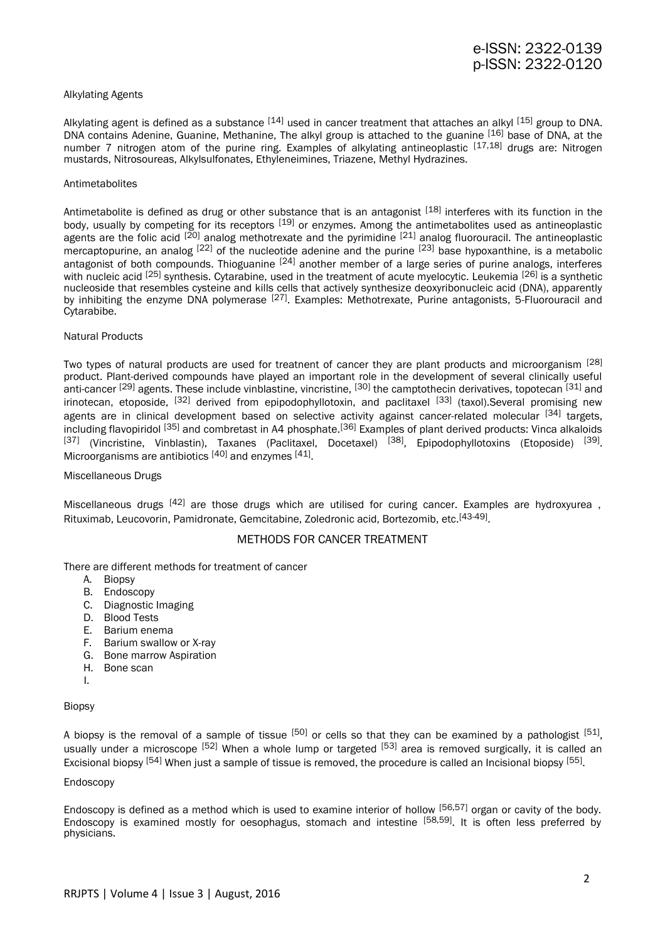# e-ISSN: 2322-0139 p-ISSN: 2322-0120

#### Alkylating Agents

Alkylating agent is defined as a substance  $^{[14]}$  used in cancer treatment that attaches an alkyl  $^{[15]}$  group to DNA. DNA contains Adenine, Guanine, Methanine, The alkyl group is attached to the guanine [16] base of DNA, at the number 7 nitrogen atom of the purine ring. Examples of alkylating antineoplastic [17,18] drugs are: Nitrogen mustards, Nitrosoureas, Alkylsulfonates, Ethyleneimines, Triazene, Methyl Hydrazines.

#### Antimetabolites

Antimetabolite is defined as drug or other substance that is an antagonist [18] interferes with its function in the body, usually by competing for its receptors [19] or enzymes. Among the antimetabolites used as antineoplastic agents are the folic acid <sup>[20]</sup> analog methotrexate and the pyrimidine <sup>[21]</sup> analog fluorouracil. The antineoplastic mercaptopurine, an analog <sup>[22]</sup> of the nucleotide adenine and the purine <sup>[23]</sup> base hypoxanthine, is a metabolic antagonist of both compounds. Thioguanine <sup>[24]</sup> another member of a large series of purine analogs, interferes with nucleic acid <sup>[25]</sup> synthesis. Cytarabine, used in the treatment of acute myelocytic. Leukemia <sup>[26]</sup> is a synthetic nucleoside that resembles cysteine and kills cells that actively synthesize deoxyribonucleic acid (DNA), apparently by inhibiting the enzyme DNA polymerase <sup>[27]</sup>. Examples: Methotrexate, Purine antagonists, 5-Fluorouracil and Cytarabibe.

#### Natural Products

Two types of natural products are used for treatnent of cancer they are plant products and microorganism [28] product. Plant-derived compounds have played an important role in the development of several clinically useful anti-cancer <sup>[29]</sup> agents. These include vinblastine, vincristine, <sup>[30]</sup> the camptothecin derivatives, topotecan <sup>[31]</sup> and irinotecan, etoposide, <sup>[32]</sup> derived from epipodophyllotoxin, and paclitaxel <sup>[33]</sup> (taxol).Several promising new agents are in clinical development based on selective activity against cancer-related molecular  $[34]$  targets, including flavopiridol [35] and combretast in A4 phosphate.[36] Examples of plant derived products: Vinca alkaloids <sup>[37]</sup> (Vincristine, Vinblastin), Taxanes (Paclitaxel, Docetaxel) <sup>[38]</sup>, Epipodophyllotoxins (Etoposide) <sup>[39]</sup>. Microorganisms are antibiotics [40] and enzymes [41].

#### Miscellaneous Drugs

Miscellaneous drugs <sup>[42]</sup> are those drugs which are utilised for curing cancer. Examples are hydroxyurea, Rituximab, Leucovorin, Pamidronate, Gemcitabine, Zoledronic acid, Bortezomib, etc.<sup>[43-49]</sup>.

#### METHODS FOR CANCER TREATMENT

There are different methods for treatment of cancer

- A. Biopsy
- B. Endoscopy
- C. Diagnostic Imaging
- D. Blood Tests
- E. Barium enema
- F. Barium swallow or X-ray
- G. Bone marrow Aspiration
- H. Bone scan
- I.

#### Biopsy

A biopsy is the removal of a sample of tissue <sup>[50]</sup> or cells so that they can be examined by a pathologist <sup>[51]</sup>, usually under a microscope [52] When a whole lump or targeted [53] area is removed surgically, it is called an Excisional biopsy <sup>[54]</sup> When just a sample of tissue is removed, the procedure is called an Incisional biopsy <sup>[55]</sup>.

#### Endoscopy

Endoscopy is defined as a method which is used to examine interior of hollow  $[56,57]$  organ or cavity of the body. Endoscopy is examined mostly for oesophagus, stomach and intestine [58,59]. It is often less preferred by physicians.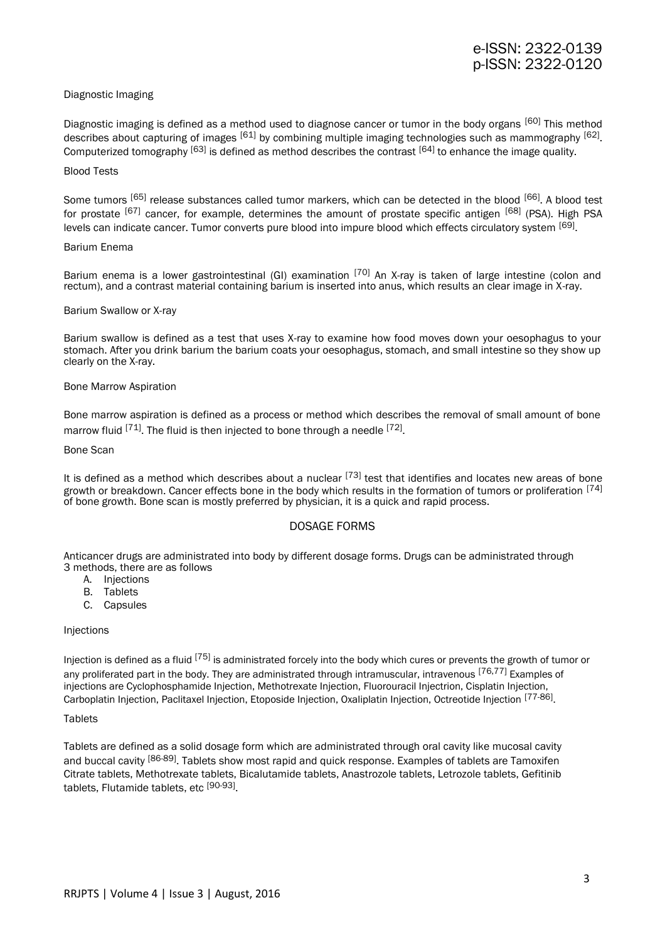#### Diagnostic Imaging

Diagnostic imaging is defined as a method used to diagnose cancer or tumor in the body organs [60] This method describes about capturing of images <sup>[61]</sup> by combining multiple imaging technologies such as mammography <sup>[62]</sup>. Computerized tomography [63] is defined as method describes the contrast [64] to enhance the image quality.

#### Blood Tests

Some tumors [65] release substances called tumor markers, which can be detected in the blood [66]. A blood test for prostate [67] cancer, for example, determines the amount of prostate specific antigen [68] (PSA). High PSA levels can indicate cancer. Tumor converts pure blood into impure blood which effects circulatory system <sup>[69]</sup>.

#### Barium Enema

Barium enema is a lower gastrointestinal (GI) examination <sup>[70]</sup> An X-ray is taken of large intestine (colon and rectum), and a contrast material containing barium is inserted into anus, which results an clear image in X-ray.

#### Barium Swallow or X-ray

Barium swallow is defined as a test that uses X-ray to examine how food moves down your oesophagus to your stomach. After you drink barium the barium coats your oesophagus, stomach, and small intestine so they show up clearly on the X-ray.

#### Bone Marrow Aspiration

Bone marrow aspiration is defined as a process or method which describes the removal of small amount of bone marrow fluid <sup>[71]</sup>. The fluid is then injected to bone through a needle <sup>[72]</sup>.

#### Bone Scan

It is defined as a method which describes about a nuclear  $[73]$  test that identifies and locates new areas of bone growth or breakdown. Cancer effects bone in the body which results in the formation of tumors or proliferation [74] of bone growth. Bone scan is mostly preferred by physician, it is a quick and rapid process.

# DOSAGE FORMS

Anticancer drugs are administrated into body by different dosage forms. Drugs can be administrated through 3 methods, there are as follows

- A. Injections
- B. Tablets
- C. Capsules

#### Injections

Injection is defined as a fluid  $[75]$  is administrated forcely into the body which cures or prevents the growth of tumor or any proliferated part in the body. They are administrated through intramuscular, intravenous [76,77] Examples of injections are Cyclophosphamide Injection, Methotrexate Injection, Fluorouracil Injectrion, Cisplatin Injection, Carboplatin Injection, Paclitaxel Injection, Etoposide Injection, Oxaliplatin Injection, Octreotide Injection <sup>[77-86]</sup>.

#### **Tablets**

Tablets are defined as a solid dosage form which are administrated through oral cavity like mucosal cavity and buccal cavity [86-89]. Tablets show most rapid and quick response. Examples of tablets are Tamoxifen Citrate tablets, Methotrexate tablets, Bicalutamide tablets, Anastrozole tablets, Letrozole tablets, Gefitinib tablets, Flutamide tablets, etc <sup>[90-93]</sup>.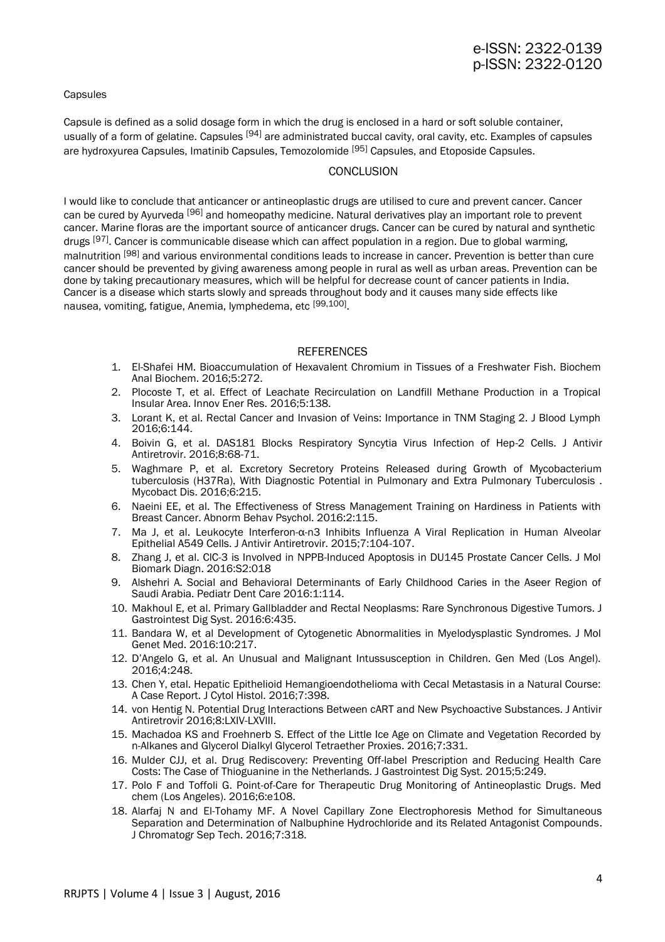# e-ISSN: 2322-0139 p-ISSN: 2322-0120

#### **Capsules**

Capsule is defined as a solid dosage form in which the drug is enclosed in a hard or soft soluble container, usually of a form of gelatine. Capsules <sup>[94]</sup> are administrated buccal cavity, oral cavity, etc. Examples of capsules are hydroxyurea Capsules, Imatinib Capsules, Temozolomide [95] Capsules, and Etoposide Capsules.

### **CONCLUSION**

I would like to conclude that anticancer or antineoplastic drugs are utilised to cure and prevent cancer. Cancer can be cured by Ayurveda [96] and homeopathy medicine. Natural derivatives play an important role to prevent cancer. Marine floras are the important source of anticancer drugs. Cancer can be cured by natural and synthetic drugs [97]. Cancer is communicable disease which can affect population in a region. Due to global warming, malnutrition <sup>[98]</sup> and various environmental conditions leads to increase in cancer. Prevention is better than cure cancer should be prevented by giving awareness among people in rural as well as urban areas. Prevention can be done by taking precautionary measures, which will be helpful for decrease count of cancer patients in India. Cancer is a disease which starts slowly and spreads throughout body and it causes many side effects like nausea, vomiting, fatigue, Anemia, lymphedema, etc <sup>[99,100]</sup>.

### **REFERENCES**

- 1. El-Shafei HM. Bioaccumulation of Hexavalent Chromium in Tissues of a Freshwater Fish. Biochem Anal Biochem. 2016;5:272.
- 2. Plocoste T, et al. Effect of Leachate Recirculation on Landfill Methane Production in a Tropical Insular Area. Innov Ener Res. 2016;5:138.
- 3. Lorant K, et al. Rectal Cancer and Invasion of Veins: Importance in TNM Staging 2. J Blood Lymph 2016;6:144.
- 4. Boivin G, et al. DAS181 Blocks Respiratory Syncytia Virus Infection of Hep-2 Cells. J Antivir Antiretrovir. 2016;8:68-71.
- 5. Waghmare P, et al. Excretory Secretory Proteins Released during Growth of Mycobacterium tuberculosis (H37Ra), With Diagnostic Potential in Pulmonary and Extra Pulmonary Tuberculosis . Mycobact Dis. 2016;6:215.
- 6. Naeini EE, et al. The Effectiveness of Stress Management Training on Hardiness in Patients with Breast Cancer. Abnorm Behav Psychol. 2016:2:115.
- 7. Ma J, et al. Leukocyte Interferon-α-n3 Inhibits Influenza A Viral Replication in Human Alveolar Epithelial A549 Cells. J Antivir Antiretrovir. 2015;7:104-107.
- 8. Zhang J, et al. ClC-3 is Involved in NPPB-Induced Apoptosis in DU145 Prostate Cancer Cells. J Mol Biomark Diagn. 2016:S2:018
- 9. Alshehri A. Social and Behavioral Determinants of Early Childhood Caries in the Aseer Region of Saudi Arabia. Pediatr Dent Care 2016:1:114.
- 10. Makhoul E, et al. Primary Gallbladder and Rectal Neoplasms: Rare Synchronous Digestive Tumors. J Gastrointest Dig Syst. 2016:6:435.
- 11. Bandara W, et al Development of Cytogenetic Abnormalities in Myelodysplastic Syndromes. J Mol Genet Med. 2016:10:217.
- 12. D'Angelo G, et al. An Unusual and Malignant Intussusception in Children. Gen Med (Los Angel). 2016;4:248.
- 13. Chen Y, etal. Hepatic Epithelioid Hemangioendothelioma with Cecal Metastasis in a Natural Course: A Case Report. J Cytol Histol. 2016;7:398.
- 14. von Hentig N. Potential Drug Interactions Between cART and New Psychoactive Substances. J Antivir Antiretrovir 2016;8:LXIV-LXVIII.
- 15. Machadoa KS and Froehnerb S. Effect of the Little Ice Age on Climate and Vegetation Recorded by n-Alkanes and Glycerol Dialkyl Glycerol Tetraether Proxies. 2016;7:331.
- 16. Mulder CJJ, et al. Drug Rediscovery: Preventing Off-label Prescription and Reducing Health Care Costs: The Case of Thioguanine in the Netherlands. J Gastrointest Dig Syst. 2015;5:249.
- 17. Polo F and Toffoli G. Point-of-Care for Therapeutic Drug Monitoring of Antineoplastic Drugs. Med chem (Los Angeles). 2016;6:e108.
- 18. Alarfaj N and El-Tohamy MF. A Novel Capillary Zone Electrophoresis Method for Simultaneous Separation and Determination of Nalbuphine Hydrochloride and its Related Antagonist Compounds. J Chromatogr Sep Tech. 2016;7:318.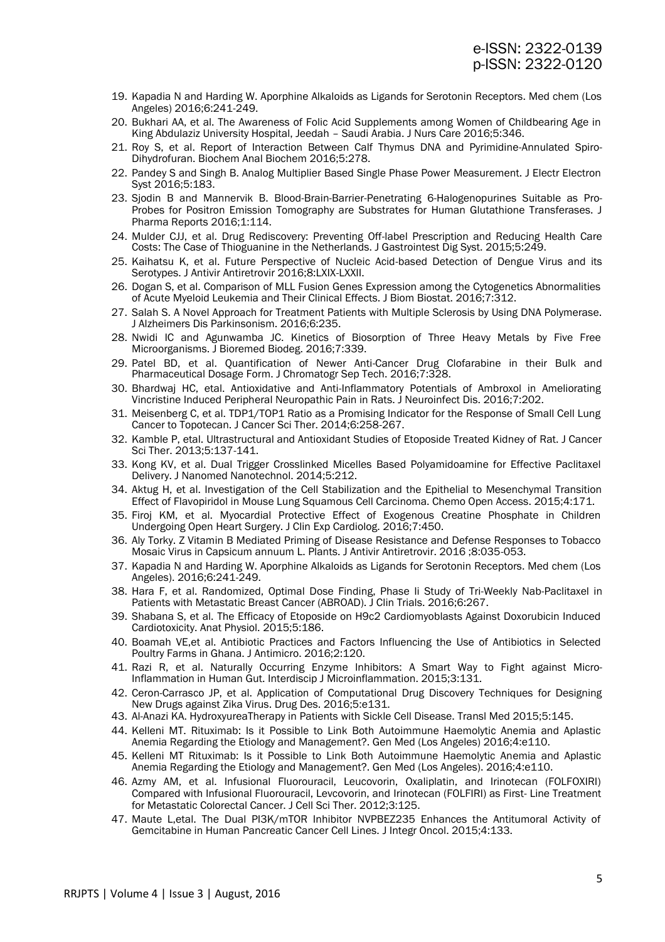- 19. Kapadia N and Harding W. Aporphine Alkaloids as Ligands for Serotonin Receptors. Med chem (Los Angeles) 2016;6:241-249.
- 20. Bukhari AA, et al. The Awareness of Folic Acid Supplements among Women of Childbearing Age in King Abdulaziz University Hospital, Jeedah – Saudi Arabia. J Nurs Care 2016;5:346.
- 21. Roy S, et al. Report of Interaction Between Calf Thymus DNA and Pyrimidine-Annulated Spiro-Dihydrofuran. Biochem Anal Biochem 2016;5:278.
- 22. Pandey S and Singh B. Analog Multiplier Based Single Phase Power Measurement. J Electr Electron Syst 2016;5:183.
- 23. Sjodin B and Mannervik B. Blood-Brain-Barrier-Penetrating 6-Halogenopurines Suitable as Pro-Probes for Positron Emission Tomography are Substrates for Human Glutathione Transferases. J Pharma Reports 2016;1:114.
- 24. Mulder CJJ, et al. Drug Rediscovery: Preventing Off-label Prescription and Reducing Health Care Costs: The Case of Thioguanine in the Netherlands. J Gastrointest Dig Syst. 2015;5:249.
- 25. Kaihatsu K, et al. Future Perspective of Nucleic Acid-based Detection of Dengue Virus and its Serotypes. J Antivir Antiretrovir 2016;8:LXIX-LXXII.
- 26. Dogan S, et al. Comparison of MLL Fusion Genes Expression among the Cytogenetics Abnormalities of Acute Myeloid Leukemia and Their Clinical Effects. J Biom Biostat. 2016;7:312.
- 27. Salah S. A Novel Approach for Treatment Patients with Multiple Sclerosis by Using DNA Polymerase. J Alzheimers Dis Parkinsonism. 2016;6:235.
- 28. Nwidi IC and Agunwamba JC. Kinetics of Biosorption of Three Heavy Metals by Five Free Microorganisms. J Bioremed Biodeg. 2016;7:339.
- 29. Patel BD, et al. Quantification of Newer Anti-Cancer Drug Clofarabine in their Bulk and Pharmaceutical Dosage Form. J Chromatogr Sep Tech. 2016;7:328.
- 30. Bhardwaj HC, etal. Antioxidative and Anti-Inflammatory Potentials of Ambroxol in Ameliorating Vincristine Induced Peripheral Neuropathic Pain in Rats. J Neuroinfect Dis. 2016;7:202.
- 31. Meisenberg C, et al. TDP1/TOP1 Ratio as a Promising Indicator for the Response of Small Cell Lung Cancer to Topotecan. J Cancer Sci Ther. 2014;6:258-267.
- 32. Kamble P, etal. Ultrastructural and Antioxidant Studies of Etoposide Treated Kidney of Rat. J Cancer Sci Ther. 2013;5:137-141.
- 33. Kong KV, et al. Dual Trigger Crosslinked Micelles Based Polyamidoamine for Effective Paclitaxel Delivery. J Nanomed Nanotechnol. 2014;5:212.
- 34. Aktug H, et al. Investigation of the Cell Stabilization and the Epithelial to Mesenchymal Transition Effect of Flavopiridol in Mouse Lung Squamous Cell Carcinoma. Chemo Open Access. 2015;4:171.
- 35. Firoj KM, et al. Myocardial Protective Effect of Exogenous Creatine Phosphate in Children Undergoing Open Heart Surgery. J Clin Exp Cardiolog. 2016;7:450.
- 36. Aly Torky. Z Vitamin B Mediated Priming of Disease Resistance and Defense Responses to Tobacco Mosaic Virus in Capsicum annuum L. Plants. J Antivir Antiretrovir. 2016 ;8:035-053.
- 37. Kapadia N and Harding W. Aporphine Alkaloids as Ligands for Serotonin Receptors. Med chem (Los Angeles). 2016;6:241-249.
- 38. Hara F, et al. Randomized, Optimal Dose Finding, Phase Ii Study of Tri-Weekly Nab-Paclitaxel in Patients with Metastatic Breast Cancer (ABROAD). J Clin Trials. 2016;6:267.
- 39. Shabana S, et al. The Efficacy of Etoposide on H9c2 Cardiomyoblasts Against Doxorubicin Induced Cardiotoxicity. Anat Physiol. 2015;5:186.
- 40. Boamah VE,et al. Antibiotic Practices and Factors Influencing the Use of Antibiotics in Selected Poultry Farms in Ghana. J Antimicro. 2016;2:120.
- 41. Razi R, et al. Naturally Occurring Enzyme Inhibitors: A Smart Way to Fight against Micro-Inflammation in Human Gut. Interdiscip J Microinflammation. 2015;3:131.
- 42. Ceron-Carrasco JP, et al. Application of Computational Drug Discovery Techniques for Designing New Drugs against Zika Virus. Drug Des. 2016;5:e131.
- 43. Al-Anazi KA. HydroxyureaTherapy in Patients with Sickle Cell Disease. Transl Med 2015;5:145.
- 44. Kelleni MT. Rituximab: Is it Possible to Link Both Autoimmune Haemolytic Anemia and Aplastic Anemia Regarding the Etiology and Management?. Gen Med (Los Angeles) 2016;4:e110.
- 45. Kelleni MT Rituximab: Is it Possible to Link Both Autoimmune Haemolytic Anemia and Aplastic Anemia Regarding the Etiology and Management?. Gen Med (Los Angeles). 2016;4:e110.
- 46. Azmy AM, et al. Infusional Fluorouracil, Leucovorin, Oxaliplatin, and Irinotecan (FOLFOXIRI) Compared with Infusional Fluorouracil, Levcovorin, and Irinotecan (FOLFIRI) as First- Line Treatment for Metastatic Colorectal Cancer. J Cell Sci Ther. 2012;3:125.
- 47. Maute L,etal. The Dual PI3K/mTOR Inhibitor NVPBEZ235 Enhances the Antitumoral Activity of Gemcitabine in Human Pancreatic Cancer Cell Lines. J Integr Oncol. 2015;4:133.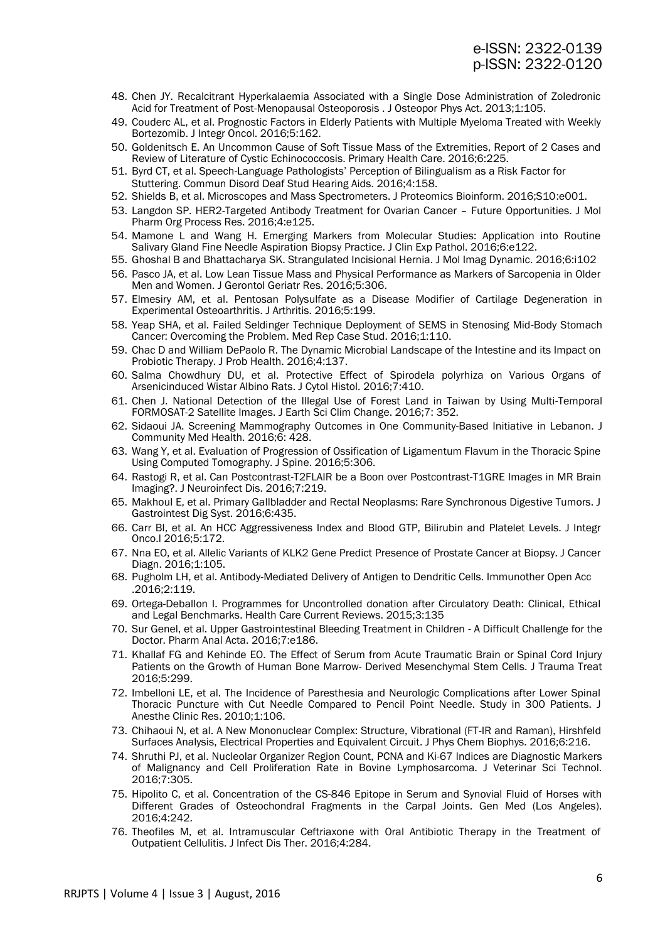- 48. Chen JY. Recalcitrant Hyperkalaemia Associated with a Single Dose Administration of Zoledronic Acid for Treatment of Post-Menopausal Osteoporosis . J Osteopor Phys Act. 2013;1:105.
- 49. Couderc AL, et al. Prognostic Factors in Elderly Patients with Multiple Myeloma Treated with Weekly Bortezomib. J Integr Oncol. 2016;5:162.
- 50. Goldenitsch E. An Uncommon Cause of Soft Tissue Mass of the Extremities, Report of 2 Cases and Review of Literature of Cystic Echinococcosis. Primary Health Care. 2016;6:225.
- 51. Byrd CT, et al. Speech-Language Pathologists' Perception of Bilingualism as a Risk Factor for Stuttering. Commun Disord Deaf Stud Hearing Aids. 2016;4:158.
- 52. Shields B, et al. Microscopes and Mass Spectrometers. J Proteomics Bioinform. 2016;S10:e001.
- 53. Langdon SP. HER2-Targeted Antibody Treatment for Ovarian Cancer Future Opportunities. J Mol Pharm Org Process Res. 2016;4:e125.
- 54. Mamone L and Wang H. Emerging Markers from Molecular Studies: Application into Routine Salivary Gland Fine Needle Aspiration Biopsy Practice. J Clin Exp Pathol. 2016;6:e122.
- 55. Ghoshal B and Bhattacharya SK. Strangulated Incisional Hernia. J Mol Imag Dynamic. 2016;6:i102
- 56. Pasco JA, et al. Low Lean Tissue Mass and Physical Performance as Markers of Sarcopenia in Older Men and Women. J Gerontol Geriatr Res. 2016;5:306.
- 57. Elmesiry AM, et al. Pentosan Polysulfate as a Disease Modifier of Cartilage Degeneration in Experimental Osteoarthritis. J Arthritis. 2016;5:199.
- 58. Yeap SHA, et al. Failed Seldinger Technique Deployment of SEMS in Stenosing Mid-Body Stomach Cancer: Overcoming the Problem. Med Rep Case Stud. 2016;1:110.
- 59. Chac D and William DePaolo R. The Dynamic Microbial Landscape of the Intestine and its Impact on Probiotic Therapy. J Prob Health. 2016;4:137.
- 60. Salma Chowdhury DU, et al. Protective Effect of Spirodela polyrhiza on Various Organs of Arsenicinduced Wistar Albino Rats. J Cytol Histol. 2016;7:410.
- 61. Chen J. National Detection of the Illegal Use of Forest Land in Taiwan by Using Multi-Temporal FORMOSAT-2 Satellite Images. J Earth Sci Clim Change. 2016;7: 352.
- 62. Sidaoui JA. Screening Mammography Outcomes in One Community-Based Initiative in Lebanon. J Community Med Health. 2016;6: 428.
- 63. Wang Y, et al. Evaluation of Progression of Ossification of Ligamentum Flavum in the Thoracic Spine Using Computed Tomography. J Spine. 2016;5:306.
- 64. Rastogi R, et al. Can Postcontrast-T2FLAIR be a Boon over Postcontrast-T1GRE Images in MR Brain Imaging?. J Neuroinfect Dis. 2016;7:219.
- 65. Makhoul E, et al. Primary Gallbladder and Rectal Neoplasms: Rare Synchronous Digestive Tumors. J Gastrointest Dig Syst. 2016;6:435.
- 66. Carr BI, et al. An HCC Aggressiveness Index and Blood GTP, Bilirubin and Platelet Levels. J Integr Onco.l 2016;5:172.
- 67. Nna EO, et al. Allelic Variants of KLK2 Gene Predict Presence of Prostate Cancer at Biopsy. J Cancer Diagn. 2016;1:105.
- 68. Pugholm LH, et al. Antibody-Mediated Delivery of Antigen to Dendritic Cells. Immunother Open Acc .2016;2:119.
- 69. Ortega-Deballon I. Programmes for Uncontrolled donation after Circulatory Death: Clinical, Ethical and Legal Benchmarks. Health Care Current Reviews. 2015;3:135
- 70. Sur Genel, et al. Upper Gastrointestinal Bleeding Treatment in Children A Difficult Challenge for the Doctor. Pharm Anal Acta. 2016;7:e186.
- 71. Khallaf FG and Kehinde EO. The Effect of Serum from Acute Traumatic Brain or Spinal Cord Injury Patients on the Growth of Human Bone Marrow- Derived Mesenchymal Stem Cells. J Trauma Treat 2016;5:299.
- 72. Imbelloni LE, et al. The Incidence of Paresthesia and Neurologic Complications after Lower Spinal Thoracic Puncture with Cut Needle Compared to Pencil Point Needle. Study in 300 Patients. J Anesthe Clinic Res. 2010;1:106.
- 73. Chihaoui N, et al. A New Mononuclear Complex: Structure, Vibrational (FT-IR and Raman), Hirshfeld Surfaces Analysis, Electrical Properties and Equivalent Circuit. J Phys Chem Biophys. 2016;6:216.
- 74. Shruthi PJ, et al. Nucleolar Organizer Region Count, PCNA and Ki-67 Indices are Diagnostic Markers of Malignancy and Cell Proliferation Rate in Bovine Lymphosarcoma. J Veterinar Sci Technol. 2016;7:305.
- 75. Hipolito C, et al. Concentration of the CS-846 Epitope in Serum and Synovial Fluid of Horses with Different Grades of Osteochondral Fragments in the Carpal Joints. Gen Med (Los Angeles). 2016;4:242.
- 76. Theofiles M, et al. Intramuscular Ceftriaxone with Oral Antibiotic Therapy in the Treatment of Outpatient Cellulitis. J Infect Dis Ther. 2016;4:284.